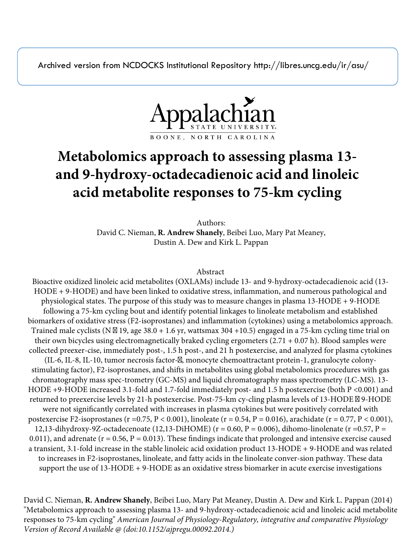Archived version from NCDOCKS Institutional Repository http://libres.uncg.edu/ir/asu/



# **Metabolomics approach to assessing plasma 13 and 9-hydroxy-octadecadienoic acid and linoleic acid metabolite responses to 75-km cycling**

Authors: David C. Nieman, **R. Andrew Shanely**, Beibei Luo, Mary Pat Meaney, Dustin A. Dew and Kirk L. Pappan

### Abstract

Bioactive oxidized linoleic acid metabolites (OXLAMs) include 13- and 9-hydroxy-octadecadienoic acid (13- HODE + 9-HODE) and have been linked to oxidative stress, inflammation, and numerous pathological and physiological states. The purpose of this study was to measure changes in plasma 13-HODE + 9-HODE following a 75-km cycling bout and identify potential linkages to linoleate metabolism and established biomarkers of oxidative stress (F2-isoprostanes) and inflammation (cytokines) using a metabolomics approach. Trained male cyclists ( $N \boxtimes 19$ , age 38.0 + 1.6 yr, wattsmax 304 +10.5) engaged in a 75-km cycling time trial on their own bicycles using electromagnetically braked cycling ergometers (2.71 + 0.07 h). Blood samples were collected preexer-cise, immediately post-, 1.5 h post-, and 21 h postexercise, and analyzed for plasma cytokines (IL-6, IL-8, IL-10, tumor necrosis factor-�, monocyte chemoattractant protein-1, granulocyte colonystimulating factor), F2-isoprostanes, and shifts in metabolites using global metabolomics procedures with gas chromatography mass spec-trometry (GC-MS) and liquid chromatography mass spectrometry (LC-MS). 13- HODE +9-HODE increased 3.1-fold and 1.7-fold immediately post- and 1.5 h postexercise (both P <0.001) and returned to preexercise levels by 21-h postexercise. Post-75-km cy-cling plasma levels of 13-HODE  $\boxtimes$  9-HODE were not significantly correlated with increases in plasma cytokines but were positively correlated with postexercise F2-isoprostanes (r = 0.75, P < 0.001), linoleate (r = 0.54, P = 0.016), arachidate (r = 0.77, P < 0.001), 12,13-dihydroxy-9Z-octadecenoate (12,13-DiHOME) ( $r = 0.60$ ,  $P = 0.006$ ), dihomo-linolenate ( $r = 0.57$ ,  $P =$ 0.011), and adrenate ( $r = 0.56$ ,  $P = 0.013$ ). These findings indicate that prolonged and intensive exercise caused a transient, 3.1-fold increase in the stable linoleic acid oxidation product 13-HODE + 9-HODE and was related to increases in F2-isoprostanes, linoleate, and fatty acids in the linoleate conver-sion pathway. These data support the use of 13-HODE + 9-HODE as an oxidative stress biomarker in acute exercise investigations

David C. Nieman, **R. Andrew Shanely**, Beibei Luo, Mary Pat Meaney, Dustin A. Dew and Kirk L. Pappan (2014) "Metabolomics approach to assessing plasma 13- and 9-hydroxy-octadecadienoic acid and linoleic acid metabolite responses to 75-km cycling" *American Journal of Physiology-Regulatory, integrative and comparative Physiology Version of Record Available @ (doi:10.1152/ajpregu.00092.2014.)*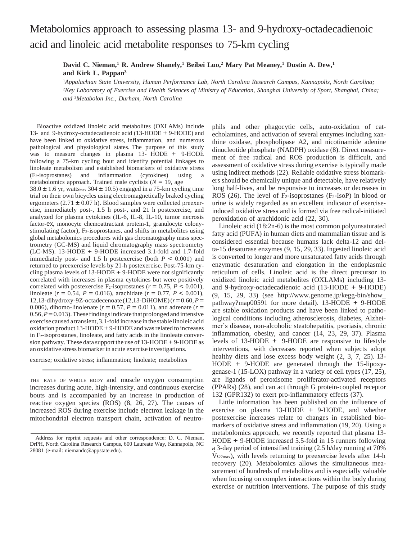## Metabolomics approach to assessing plasma 13- and 9-hydroxy-octadecadienoic acid and linoleic acid metabolite responses to 75-km cycling

**David C. Nieman,<sup>1</sup>R. Andrew Shanely,<sup>1</sup>Beibei Luo,<sup>2</sup>Mary Pat Meaney,<sup>1</sup>Dustin A. Dew,<sup>1</sup> and Kirk L. Pappan<sup>3</sup>**

<sup>1</sup>*Appalachian State University, Human Performance Lab, North Carolina Research Campus, Kannapolis, North Carolina;*  <sup>2</sup>*Key Laboratory of Exercise and Health Sciences of Ministry of Education, Shanghai University of Sport, Shanghai, China; and* <sup>3</sup>*Metabolon Inc., Durham, North Carolina*

Bioactive oxidized linoleic acid metabolites (OXLAMs) include 13- and 9-hydroxy-octadecadienoic acid (13-HODE + 9-HODE) and have been linked to oxidative stress, inflammation, and numerous pathological and physiological states. The purpose of this study was to measure changes in plasma 13- HODE + 9-HODE following a 75-km cycling bout and identify potential linkages to linoleate metabolism and established biomarkers of oxidative stress  $(F_2$ -isoprostanes) and inflammation (cytokines) using metabolomics approach. Trained male cyclists (*N* = 19, age

 $38.0 \pm 1.6$  yr, watts<sub>max</sub>  $304 \pm 10.5$ ) engaged in a 75-km cycling time trial on their own bicycles using electromagnetically braked cycling ergometers (2.71  $\pm$  0.07 h). Blood samples were collected preexercise, immediately post-, 1.5 h post-, and 21 h postexercise, and analyzed for plasma cytokines (IL-6, IL-8, IL-10, tumor necrosis factor-ex, monocyte chemoattractant protein-1, granulocyte colonystimulating factor),  $F_2$ -isoprostanes, and shifts in metabolites using global metabolomics procedures with gas chromatography mass spectrometry (GC-MS) and liquid chromatography mass spectrometry (LC-MS). 13-HODE + 9-HODE increased 3.1-fold and 1.7-fold immediately post- and 1.5 h postexercise (both  $P < 0.001$ ) and returned to preexercise levels by 21-h postexercise. Post-75-km cycling plasma levels of  $13$ -HODE + 9-HODE were not significantly correlated with increases in plasma cytokines but were positively correlated with postexercise  $F_2$ -isoprostanes ( $r = 0.75$ ,  $P < 0.001$ ), linoleate ( $r = 0.54$ ,  $P = 0.016$ ), arachidate ( $r = 0.77$ ,  $P < 0.001$ ), 12,13-dihydroxy-9Z-octadecenoate (12,13-DiHOME) (*r* = 0.60, *P* = 0.006), dihomo-linolenate ( $r = 0.57$ ,  $P = 0.011$ ), and adrenate ( $r =$  $0.56, P = 0.013$ . These findings indicate that prolonged and intensive exercise caused a transient, 3.1-fold increase in the stable linoleic acid oxidation product 13-HODE + 9-HODE and was related to increases in F2-isoprostanes, linoleate, and fatty acids in the linoleate conversion pathway. These data support the use of 13-HODE + 9-HODE as an oxidative stress biomarker in acute exercise investigations.

exercise; oxidative stress; inflammation; linoleate; metabolites

THE RATE OF WHOLE BODY and muscle oxygen consumption increases during acute, high-intensity, and continuous exercise bouts and is accompanied by an increase in production of reactive oxygen species (ROS) (8, 26, 27). The causes of increased ROS during exercise include electron leakage in the mitochondrial electron transport chain, activation of neutrophils and other phagocytic cells, auto-oxidation of catecholamines, and activation of several enzymes including xanthine oxidase, phospholipase A2, and nicotinamide adenine dinucleotide phosphate (NADPH) oxidase (8). Direct measurement of free radical and ROS production is difficult, and assessment of oxidative stress during exercise is typically made using indirect methods (22). Reliable oxidative stress biomarkers should be chemically unique and detectable, have relatively long half-lives, and be responsive to increases or decreases in ROS (26). The level of  $F_2$ -isoprostanes ( $F_2$ -IsoP) in blood or urine is widely regarded as an excellent indicator of exerciseinduced oxidative stress and is formed via free radical-initiated peroxidation of arachidonic acid (22, 30).

Linoleic acid (18:2n-6) is the most common polyunsaturated fatty acid (PUFA) in human diets and mammalian tissue and is considered essential because humans lack delta-12 and delta-15 desaturase enzymes (9, 15, 29, 33). Ingested linoleic acid is converted to longer and more unsaturated fatty acids through enzymatic desaturation and elongation in the endoplasmic reticulum of cells. Linoleic acid is the direct precursor to oxidized linoleic acid metabolites (OXLAMs) including 13 and 9-hydroxy-octadecadienoic acid (13-HODE + 9-HODE) (9, 15, 29, 33) (see [http://www.genome.jp/kegg-bin/show\\_](http://www.genome.jp/kegg-bin/show_pathway?map00591) [pathway?map00591](http://www.genome.jp/kegg-bin/show_pathway?map00591) for more detail). 13-HODE + 9-HODE are stable oxidation products and have been linked to pathological conditions including atherosclerosis, diabetes, Alzheimer's disease, non-alcoholic steatohepatitis, psoriasis, chronic inflammation, obesity, and cancer (14, 23, 29, 37). Plasma levels of  $13$ -HODE + 9-HODE are responsive to lifestyle interventions, with decreases reported when subjects adopt healthy diets and lose excess body weight  $(2, 3, 7, 25)$ . 13-HODE + 9-HODE are generated through the 15-lipoxygenase-1 (15-LOX) pathway in a variety of cell types (17, 25), are ligands of peroxisome proliferator-activated receptors (PPARs) (28), and can act through G protein-coupled receptor 132 (GPR132) to exert pro-inflammatory effects (37).

Little information has been published on the influence of exercise on plasma  $13$ -HODE  $+$  9-HODE, and whether postexercise increases relate to changes in established biomarkers of oxidative stress and inflammation (19, 20). Using a metabolomics approach, we recently reported that plasma 13- HODE + 9-HODE increased 5.5-fold in 15 runners following a 3-day period of intensified training (2.5 h/day running at 70% VO<sub>2max</sub>), with levels returning to preexercise levels after 14-h recovery (20). Metabolomics allows the simultaneous measurement of hundreds of metabolites and is especially valuable when focusing on complex interactions within the body during exercise or nutrition interventions. The purpose of this study

Address for reprint requests and other correspondence: D. C. Nieman, DrPH, North Carolina Research Campus, 600 Laureate Way, Kannapolis, NC 28081 (e-mail: [niemandc@appstate.edu\).](mailto:niemandc@appstate.edu)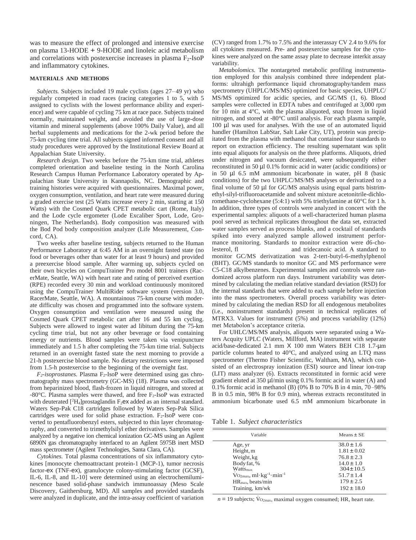was to measure the effect of prolonged and intensive exercise on plasma  $13$ -HODE + 9-HODE and linoleic acid metabolism and correlations with postexercise increases in plasma  $F_2$ -IsoP and inflammatory cytokines.

#### **MATERIALS AND METHODS**

*Subjects.* Subjects included 19 male cyclists (ages 27–49 yr) who regularly competed in road races (racing categories 1 to 5, with 5 assigned to cyclists with the lowest performance ability and experience) and were capable of cycling 75 km at race pace. Subjects trained normally, maintained weight, and avoided the use of large-dose vitamin and mineral supplements (above 100% Daily Value), and all herbal supplements and medications for the 2-wk period before the 75-km cycling time trial. All subjects signed informed consent and all study procedures were approved by the Institutional Review Board at Appalachian State University.

*Research design.* Two weeks before the 75-km time trial, athletes completed orientation and baseline testing in the North Carolina Research Campus Human Performance Laboratory operated by Appalachian State University in Kannapolis, NC. Demographic and training histories were acquired with questionnaires. Maximal power, oxygen consumption, ventilation, and heart rate were measured during a graded exercise test (25 Watts increase every 2 min, starting at 150 Watts) with the Cosmed Quark CPET metabolic cart (Rome, Italy) and the Lode cycle ergometer (Lode Excaliber Sport, Lode, Groningen, The Netherlands). Body composition was measured with the Bod Pod body composition analyzer (Life Measurement, Concord, CA).

Two weeks after baseline testing, subjects returned to the Human Performance Laboratory at 6:45 AM in an overnight fasted state (no food or beverages other than water for at least 9 hours) and provided a preexercise blood sample. After warming up, subjects cycled on their own bicycles on CompuTrainer Pro model 8001 trainers (RacerMate, Seattle, WA) with heart rate and rating of perceived exertion (RPE) recorded every 30 min and workload continuously monitored using the CompuTrainer MultiRider software system (version 3.0, RacerMate, Seattle, WA). A mountainous 75-km course with moderate difficulty was chosen and programmed into the software system. Oxygen consumption and ventilation were measured using the Cosmed Quark CPET metabolic cart after 16 and 55 km cycling. Subjects were allowed to ingest water ad libitum during the 75-km cycling time trial, but not any other beverage or food containing energy or nutrients. Blood samples were taken via venipuncture immediately and 1.5 h after completing the 75-km time trial. Subjects returned in an overnight fasted state the next morning to provide a 21-h postexercise blood sample. No dietary restrictions were imposed from 1.5-h postexercise to the beginning of the overnight fast.

*F2-isoprostanes.* Plasma F2-IsoP were determined using gas chromatography mass spectrometry (GC-MS) (18). Plasma was collected from heparinized blood, flash-frozen in liquid nitrogen, and stored at -80 $^{\circ}$ C. Plasma samples were thawed, and free F<sub>2</sub>-IsoP was extracted with deuterated  $[{}^{2}H_{4}]$ prostaglandin  $F_{2}$ ex added as an internal standard. Waters Sep-Pak C18 cartridges followed by Waters Sep-Pak Silica cartridges were used for solid phase extraction. F<sub>2</sub>-IsoP were converted to pentafluorobenzyl esters, subjected to thin layer chromatography, and converted to trimethylsilyl ether derivatives. Samples were analyzed by a negative ion chemical ionization GC-MS using an Agilent 6890N gas chromatography interfaced to an Agilent 5975B inert MSD mass spectrometer (Agilent Technologies, Santa Clara, CA).

*Cytokines.* Total plasma concentrations of six inflammatory cytokines [monocyte chemoattractant protein-1 (MCP-1), tumor necrosis factor-ex (TNF-ex), granulocyte colony-stimulating factor (GCSF), IL-6, IL-8, and IL-10] were determined using an electrochemiluminescence based solid-phase sandwich immunoassay (Meso Scale Discovery, Gaithersburg, MD). All samples and provided standards were analyzed in duplicate, and the intra-assay coefficient of variation

(CV) ranged from 1.7% to 7.5% and the interassay CV 2.4 to 9.6% for all cytokines measured. Pre- and postexercise samples for the cytokines were analyzed on the same assay plate to decrease interkit assay variability.

*Metabolomics.* The nontargeted metabolic profiling instrumentation employed for this analysis combined three independent platforms: ultrahigh performance liquid chromatography/tandem mass spectrometry (UHPLC/MS/MS) optimized for basic species, UHPLC/ MS/MS optimized for acidic species, and GC/MS (1, 6). Blood samples were collected in EDTA tubes and centrifuged at 3,000 rpm for 10 min at 4°C, with the plasma aliquoted, snap frozen in liquid nitrogen, and stored at -80°C until analysis. For each plasma sample, 100 µl was used for analyses. With the use of an automated liquid handler (Hamilton LabStar, Salt Lake City, UT), protein was precipitated from the plasma with methanol that contained four standards to report on extraction efficiency. The resulting supernatant was split into equal aliquots for analysis on the three platforms. Aliquots, dried under nitrogen and vacuum desiccated, were subsequently either reconstituted in 50 µl 0.1% formic acid in water (acidic conditions) or in 50 µl 6.5 mM ammonium bicarbonate in water, pH 8 (basic conditions) for the two UHPLC/MS/MS analyses or derivatized to a final volume of 50 µl for GC/MS analysis using equal parts bistrimethyl-silyl-trifluoroacetamide and solvent mixture acetonitrile-dichloromethane-cyclohexane (5:4:1) with 5% triethylamine at 60°C for 1 h. In addition, three types of controls were analyzed in concert with the experimental samples: aliquots of a well-characterized human plasma pool served as technical replicates throughout the data set, extracted water samples served as process blanks, and a cocktail of standards spiked into every analyzed sample allowed instrument performance monitoring. Standards to monitor extraction were d6-cholesterol, fl and tridecanoic acid. A standard to monitor GC/MS derivatization was 2-tert-butyl-6-methylphenol (BHT). GC/MS standards to monitor GC and MS performance were C5-C18 alkylbenzenes. Experimental samples and controls were randomized across platform run days. Instrument variability was determined by calculating the median relative standard deviation (RSD) for the internal standards that were added to each sample before injection into the mass spectrometers. Overall process variability was determined by calculating the median RSD for all endogenous metabolites (i.e., noninstrument standards) present in technical replicates of MTRX3. Values for instrument (5%) and process variability (12%) met Metabolon's acceptance criteria.

For UHLC/MS/MS analysis, aliquots were separated using a Waters Acquity UPLC (Waters, Millford, MA) instrument with separate acid/base-dedicated 2.1 mm X 100 mm Waters BEH C18 1.7-µm particle columns heated to 40°C, and analyzed using an LTQ mass spectrometer (Thermo Fisher Scientific, Waltham, MA), which consisted of an electrospray ionization (ESI) source and linear ion-trap (LIT) mass analyzer (6). Extracts reconstituted in formic acid were gradient eluted at 350 µl/min using 0.1% formic acid in water (A) and 0.1% formic acid in methanol (B) (0% B to 70% B in 4 min, 70 –98% B in 0.5 min, 98% B for 0.9 min), whereas extracts reconstituted in ammonium bicarbonate used 6.5 mM ammonium bicarbonate in

Table 1. *Subject characteristics*

| Variable                                             | Means $\pm$ SE  |
|------------------------------------------------------|-----------------|
| Age, yr                                              | $38.0 \pm 1.6$  |
| Height, m                                            | $1.81 \pm 0.02$ |
| Weight, kg                                           | $76.8 \pm 2.3$  |
| Body fat, %                                          | $14.0 \pm 1.0$  |
| $Watts_{max}$                                        | $304 \pm 10.5$  |
| $Vo_{2max}$ , ml·kg <sup>-1</sup> ·min <sup>-1</sup> | $51.7 \pm 1.4$  |
| $HR_{max}$ , beats/min                               | $179 \pm 2.5$   |
| Training, km/wk                                      | $192 \pm 18.0$  |

 $n = 19$  subjects; V<sub>O2max</sub>, maximal oxygen consumed; HR, heart rate.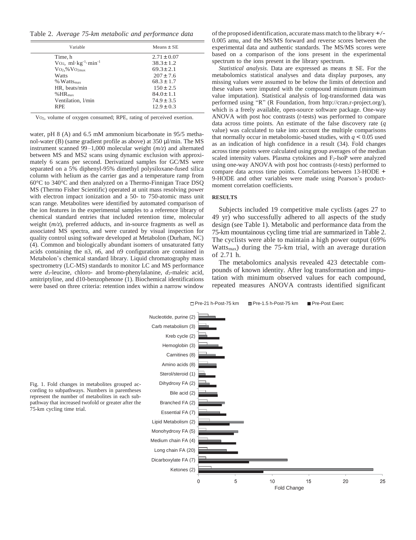Table 2. *Average 75-km metabolic and performance data*

| Variable                                                 | Means $\pm$ SE  |
|----------------------------------------------------------|-----------------|
| Time, h                                                  | $2.71 \pm 0.07$ |
| $\mathrm{Vo}_2$ , ml·kg <sup>-1</sup> ·min <sup>-1</sup> | $38.3 \pm 1.2$  |
| $\mathrm{Vo}_{2,}\% \mathrm{Vo}_{2\mathrm{max}}$         | $69.3 \pm 2.1$  |
| Watts                                                    | $207 \pm 7.6$   |
| % Watts <sub>max</sub>                                   | $68.3 \pm 1.7$  |
| HR, beats/min                                            | $150 \pm 2.5$   |
| %HR <sub>max</sub>                                       | $84.0 \pm 1.1$  |
| Ventilation, 1/min                                       | $74.9 \pm 3.5$  |
| <b>RPE</b>                                               | $12.9 \pm 0.3$  |
|                                                          |                 |

VO2, volume of oxygen consumed; RPE, rating of perceived exertion.

water, pH 8 (A) and 6.5 mM ammonium bicarbonate in 95/5 methanol-water (B) (same gradient profile as above) at 350 µl/min. The MS instrument scanned 99 –1,000 molecular weight (*m/z*) and alternated between MS and MS2 scans using dynamic exclusion with approximately 6 scans per second. Derivatized samples for GC/MS were separated on a 5% diphenyl-95% dimethyl polysiloxane-fused silica column with helium as the carrier gas and a temperature ramp from 60°C to 340°C and then analyzed on a Thermo-Finnigan Trace DSQ MS (Thermo Fisher Scientific) operated at unit mass resolving power with electron impact ionization and a 50- to 750-atomic mass unit scan range. Metabolites were identified by automated comparison of the ion features in the experimental samples to a reference library of chemical standard entries that included retention time, molecular weight (*m/z*), preferred adducts, and in-source fragments as well as associated MS spectra, and were curated by visual inspection for quality control using software developed at Metabolon (Durham, NC) (4). Common and biologically abundant isomers of unsaturated fatty acids containing the n3, n6, and n9 configuration are contained in Metabolon's chemical standard library. Liquid chromatography mass spectrometry (LC-MS) standards to monitor LC and MS performance were *d*<sub>3</sub>-leucine, chloro- and bromo-phenylalanine, *d*<sub>2</sub>-maleic acid, amitriptyline, and d10-benzophenone (1). Biochemical identifications were based on three criteria: retention index within a narrow window

of the proposed identification, accurate mass match to the library +/- 0.005 amu, and the MS/MS forward and reverse scores between the experimental data and authentic standards. The MS/MS scores were based on a comparison of the ions present in the experimental spectrum to the ions present in the library spectrum.

*Statistical analysis.* Data are expressed as means ± SE. For the metabolomics statistical analyses and data display purposes, any missing values were assumed to be below the limits of detection and these values were imputed with the compound minimum (minimum value imputation). Statistical analysis of log-transformed data was performed using "R" (R Foundation, from [http://cran.r-project.org/\),](http://cran.r-project.org/) which is a freely available, open-source software package. One-way ANOVA with post hoc contrasts (*t*-tests) was performed to compare data across time points. An estimate of the false discovery rate (*q*  value) was calculated to take into account the multiple comparisons that normally occur in metabolomic-based studies, with *q* < 0.05 used as an indication of high confidence in a result (34). Fold changes across time points were calculated using group averages of the median scaled intensity values. Plasma cytokines and  $F_2$ -IsoP were analyzed using one-way ANOVA with post hoc contrasts (*t*-tests) performed to compare data across time points. Correlations between 13-HODE + 9-HODE and other variables were made using Pearson's productmoment correlation coefficients.

#### **RESULTS**

Subjects included 19 competitive male cyclists (ages 27 to 49 yr) who successfully adhered to all aspects of the study design (see Table 1). Metabolic and performance data from the 75-km mountainous cycling time trial are summarized in Table 2. The cyclists were able to maintain a high power output (69% Watts<sub>max</sub>) during the 75-km trial, with an average duration of 2.71 h.

The metabolomics analysis revealed 423 detectable compounds of known identity. After log transformation and imputation with minimum observed values for each compound, repeated measures ANOVA contrasts identified significant

□ Pre-21 h-Post-75 km ■ Pre-1.5 h-Post-75 km ■ Pre-Post Exerc



Fig. 1. Fold changes in metabolites grouped according to subpathways. Numbers in parentheses represent the number of metabolites in each subpathway that increased twofold or greater after the 75-km cycling time trial.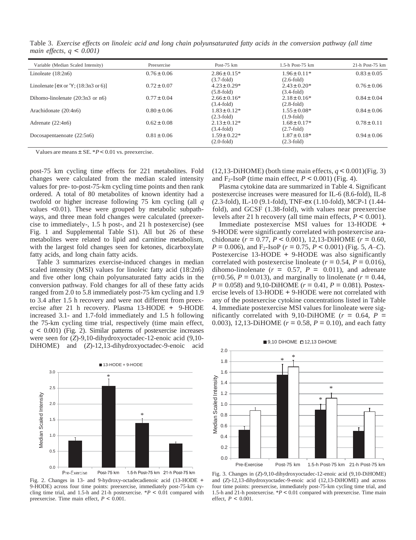Table 3. *Exercise effects on linoleic acid and long chain polyunsaturated fatty acids in the conversion pathway (all time main effects, q* < *0.001)*

| Variable (Median Scaled Intensity)     | Preexercise     | Post- $75 \text{ km}$             | 1.5-h Post-75 km                  | $21-h$ Post-75 $km$ |
|----------------------------------------|-----------------|-----------------------------------|-----------------------------------|---------------------|
| Linoleate $(18:2n6)$                   | $0.76 \pm 0.06$ | $2.86 \pm 0.15*$<br>$(3.7-fold)$  | $1.96 \pm 0.11*$<br>$(2.6-fold)$  | $0.83 \pm 0.05$     |
| Linolenate [ex or $Y$ ; (18:3n3 or 6)] | $0.72 \pm 0.07$ | $4.23 \pm 0.29*$<br>$(5.8-fold)$  | $2.43 \pm 0.20^*$<br>$(3.4-fold)$ | $0.76 \pm 0.06$     |
| Dihomo-linolenate $(20:3n3)$ or $n6)$  | $0.77 \pm 0.04$ | $2.66 \pm 0.16*$<br>$(3.4-fold)$  | $2.18 \pm 0.16*$<br>$(2.8-fold)$  | $0.84 \pm 0.04$     |
| Arachidonate (20:4n6)                  | $0.80 \pm 0.06$ | $1.83 \pm 0.12^*$<br>$(2.3-fold)$ | $1.55 \pm 0.08*$<br>$(1.9-fold)$  | $0.84 \pm 0.06$     |
| Adrenate $(22:4n6)$                    | $0.62 \pm 0.08$ | $2.13 \pm 0.12^*$<br>$(3.4-fold)$ | $1.68 \pm 0.17*$<br>$(2.7-fold)$  | $0.78 \pm 0.11$     |
| Docosapentaenoate (22:5n6)             | $0.81 \pm 0.06$ | $1.59 \pm 0.22*$<br>$(2.0-fold)$  | $1.87 \pm 0.18*$<br>$(2.3-fold)$  | $0.94 \pm 0.06$     |

Values are means  $\pm$  SE.  $*P$  < 0.01 vs. preexercise.

post-75 km cycling time effects for 221 metabolites. Fold changes were calculated from the median scaled intensity values for pre- to-post-75-km cycling time points and then rank ordered. A total of 80 metabolites of known identity had a twofold or higher increase following 75 km cycling (all *q*  values <0.01). These were grouped by metabolic subpathways, and three mean fold changes were calculated (preexercise to immediately-, 1.5 h post-, and 21 h postexercise) (see Fig. 1 and Supplemental Table S1). All but 26 of these metabolites were related to lipid and carnitine metabolism, with the largest fold changes seen for ketones, dicarboxylate fatty acids, and long chain fatty acids.

Table 3 summarizes exercise-induced changes in median scaled intensity (MSI) values for linoleic fatty acid (18:2n6) and five other long chain polyunsaturated fatty acids in the conversion pathway. Fold changes for all of these fatty acids ranged from 2.0 to 5.8 immediately post-75 km cycling and 1.9 to 3.4 after 1.5 h recovery and were not different from preexercise after 21 h recovery. Plasma 13-HODE + 9-HODE increased 3.1- and 1.7-fold immediately and 1.5 h following the 75-km cycling time trial, respectively (time main effect, *q* < 0.001) (Fig. 2). Similar patterns of postexercise increases were seen for (*Z*)-9,10-dihydroxyoctadec-12-enoic acid (9,10- DiHOME) and (*Z*)-12,13-dihydroxyoctadec-9-enoic acid



Fig. 2. Changes in 13- and 9-hydroxy-octadecadienoic acid (13-HODE + 9-HODE) across four time points: preexercise, immediately post-75-km cycling time trial, and 1.5-h and 21-h postexercise.  $*P < 0.01$  compared with preexercise. Time main effect,  $P < 0.001$ .

 $(12,13-DiHOME)$  (both time main effects,  $q < 0.001$ )(Fig. 3) and  $F_2$ -IsoP (time main effect,  $P < 0.001$ ) (Fig. 4).

Plasma cytokine data are summarized in Table 4. Significant postexercise increases were measured for IL-6 (8.6-fold), IL-8 (2.3-fold), IL-10 (9.1-fold), TNF-ex (1.10-fold), MCP-1 (1.44 fold), and GCSF (1.38-fold), with values near preexercise levels after 21 h recovery (all time main effects, *P* < 0.001).

Immediate postexercise MSI values for 13-HODE + 9-HODE were significantly correlated with postexercise arachidonate (*r* = 0.77, *P* < 0.001), 12,13-DiHOME (*r* = 0.60,  $P = 0.006$ , and  $F_2$ -IsoP ( $r = 0.75$ ,  $P < 0.001$ ) (Fig. 5, *A*–*C*). Postexercise  $13$ -HODE + 9-HODE was also significantly correlated with postexercise linoleate ( $r = 0.54$ ,  $P = 0.016$ ), dihomo-linolenate  $(r = 0.57, P = 0.011)$ , and adrenate  $(r=0.56, P = 0.013)$ , and marginally to linolenate  $(r = 0.44,$ *P* = 0.058) and 9,10-DiHOME (*r* = 0.41, *P* = 0.081). Postexercise levels of  $13$ -HODE + 9-HODE were not correlated with any of the postexercise cytokine concentrations listed in Table 4. Immediate postexercise MSI values for linoleate were significantly correlated with 9,10-DiHOME ( $r = 0.64$ ,  $P =$ 0.003), 12,13-DiHOME (*r* = 0.58, *P* = 0.10), and each fatty

 $\blacksquare$  9,10 DiHOME  $\blacksquare$  12,13 DiHOME



Fig. 3. Changes in (*Z*)-9,10-dihydroxyoctadec-12-enoic acid (9,10-DiHOME) and (*Z*)-12,13-dihydroxyoctadec-9-enoic acid (12,13-DiHOME) and across four time points: preexercise, immediately post-75-km cycling time trial, and 1.5-h and 21-h postexercise. \**P* < 0.01 compared with preexercise. Time main effect, *P* < 0.001.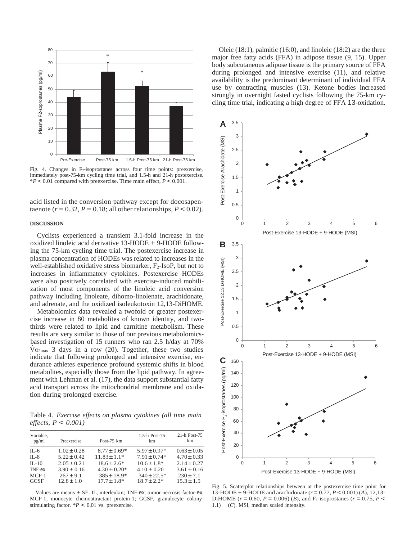

Fig. 4. Changes in  $F_2$ -isoprostanes across four time points: preexercise, immediately post-75-km cycling time trial, and 1.5-h and 21-h postexercise. \**P* < 0.01 compared with preexercise. Time main effect, *P* < 0.001.

acid listed in the conversion pathway except for docosapentaenote ( $r = 0.32$ ,  $P = 0.18$ ; all other relationships,  $P < 0.02$ ).

#### **DISCUSSION**

Cyclists experienced a transient 3.1-fold increase in the oxidized linoleic acid derivative 13-HODE + 9-HODE following the 75-km cycling time trial. The postexercise increase in plasma concentration of HODEs was related to increases in the well-established oxidative stress biomarker,  $F_2$ -IsoP, but not to increases in inflammatory cytokines. Postexercise HODEs were also positively correlated with exercise-induced mobilization of most components of the linoleic acid conversion pathway including linoleate, dihomo-linolenate, arachidonate, and adrenate, and the oxidized isoleukotoxin 12,13-DiHOME.

Metabolomics data revealed a twofold or greater postexercise increase in 80 metabolites of known identity, and twothirds were related to lipid and carnitine metabolism. These results are very similar to those of our previous metabolomicsbased investigation of 15 runners who ran 2.5 h/day at 70%  $\text{Vo}_{2\text{max}}$  3 days in a row (20). Together, these two studies indicate that following prolonged and intensive exercise, endurance athletes experience profound systemic shifts in blood metabolites, especially those from the lipid pathway. In agreement with Lehman et al. (17), the data support substantial fatty acid transport across the mitochondrial membrane and oxidation during prolonged exercise.

Table 4. *Exercise effects on plasma cytokines (all time main*  $effects, P < 0.001$ <sup>o</sup>

| Variable,<br>pg/ml                                   | Preexercise                                                                               | Post-75 km                                                                                       | 1.5-h Post-75<br>km.                                                                           | 21-h Post-75<br>km                                                                        |
|------------------------------------------------------|-------------------------------------------------------------------------------------------|--------------------------------------------------------------------------------------------------|------------------------------------------------------------------------------------------------|-------------------------------------------------------------------------------------------|
| $IL-6$<br>$II - 8$<br>$II - 10$<br>TNF-ex<br>$MCP-1$ | $1.02 \pm 0.28$<br>$5.22 \pm 0.42$<br>$2.05 \pm 0.21$<br>$3.90 \pm 0.16$<br>$267 \pm 9.1$ | $8.77 \pm 0.69*$<br>$11.83 \pm 1.1*$<br>$18.6 \pm 2.6^*$<br>$4.30 \pm 0.20^*$<br>$385 \pm 18.9*$ | $5.97 \pm 0.97*$<br>$7.91 \pm 0.74*$<br>$10.6 \pm 1.8*$<br>$4.10 \pm 0.20$<br>$340 \pm 22.5^*$ | $0.63 \pm 0.05$<br>$4.70 \pm 0.33$<br>$2.14 \pm 0.27$<br>$3.61 \pm 0.16$<br>$230 \pm 7.1$ |
| <b>GCSF</b>                                          | $12.8 \pm 1.0$                                                                            | $17.7 \pm 1.8^*$                                                                                 | $18.7 \pm 2.2^*$                                                                               | $15.3 \pm 1.5$                                                                            |

Values are means  $\pm$  SE. IL, interleukin; TNF-ex, tumor necrosis factor-ex; MCP-1, monocyte chemoattractant protein-1; GCSF, granulocyte colonystimulating factor.  $*P < 0.01$  vs. preexercise.

major free fatty acids (FFA) in adipose tissue (9, 15). Upper <sup>70</sup> body subcutaneous adipose tissue is the primary source of FFA  $\begin{array}{c|c|c|c|c|c|c|c|c} \hline \multicolumn{3}{c|}{\text{during prolonged and intensive exercise (11), and relative}} \hline \end{array}$ availability is the predominant determinant of individual FFA <sup>50</sup> use by contracting muscles (13). Ketone bodies increased strongly in overnight fasted cyclists following the 75-km cy-40 **cling time trial, indicating a high degree of FFA 13-oxidation.** 



Fig. 5. Scatterplot relationships between at the postexercise time point for 13-HODE + 9-HODE and arachidonate (*r* = 0.77, *P* < 0.001) (*A*), 12,13- DiHOME ( $r = 0.60$ ,  $P = 0.006$ ) (*B*), and F<sub>2</sub>-isoprostanes ( $r = 0.75$ ,  $P <$ 1.1) (*C*). MSI, median scaled intensity.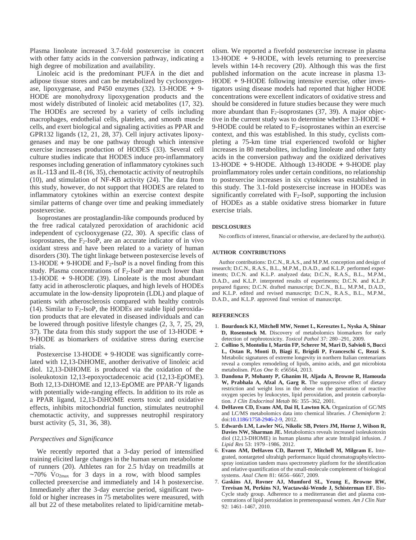Plasma linoleate increased 3.7-fold postexercise in concert with other fatty acids in the conversion pathway, indicating a high degree of mobilization and availability.

Linoleic acid is the predominant PUFA in the diet and adipose tissue stores and can be metabolized by cyclooxygenase, lipoxygenase, and P450 enzymes (32). 13-HODE + 9- HODE are monohydroxy lipoxygenation products and the most widely distributed of linoleic acid metabolites (17, 32). The HODEs are secreted by a variety of cells including macrophages, endothelial cells, platelets, and smooth muscle cells, and exert biological and signaling activities as PPAR and GPR132 ligands (12, 21, 28, 37). Cell injury activates lipoxygenases and may be one pathway through which intensive exercise increases production of HODES (33). Several cell culture studies indicate that HODES induce pro-inflammatory responses including generation of inflammatory cytokines such as IL-113 and IL-8 (16, 35), chemotactic activity of neutrophils (10), and stimulation of NF-KB activity (24). The data from this study, however, do not support that HODES are related to inflammatory cytokines within an exercise context despite similar patterns of change over time and peaking immediately postexercise.

Isoprostanes are prostaglandin-like compounds produced by the free radical catalyzed peroxidation of arachidonic acid independent of cyclooxygenase (22, 30). A specific class of isoprostanes, the  $F_2$ -IsoP, are an accurate indicator of in vivo oxidant stress and have been related to a variety of human disorders (30). The tight linkage between postexercise levels of 13-HODE  $+$  9-HODE and  $F_2$ -IsoP is a novel finding from this study. Plasma concentrations of  $F_2$ -IsoP are much lower than 13-HODE + 9-HODE (39). Linoleate is the most abundant fatty acid in atherosclerotic plaques, and high levels of HODEs accumulate in the low-density lipoprotein (LDL) and plaque of patients with atherosclerosis compared with healthy controls (14). Similar to  $F_2$ -IsoP, the HODEs are stable lipid peroxidation products that are elevated in diseased individuals and can be lowered through positive lifestyle changes (2, 3, 7, 25, 29, 37). The data from this study support the use of 13-HODE + 9-HODE as biomarkers of oxidative stress during exercise trials.

Postexercise  $13$ -HODE + 9-HODE was significantly correlated with 12,13-DiHOME, another derivative of linoleic acid diol. 12,13-DiHOME is produced via the oxidation of the isoleukotoxin 12,13-epoxyoctadecenoic acid (12,13-EpOME). Both 12,13-DiHOME and 12,13-EpOME are PPAR-'Y ligands with potentially wide-ranging effects. In addition to its role as a PPAR ligand, 12,13-DiHOME exerts toxic and oxidative effects, inhibits mitochondrial function, stimulates neutrophil chemotactic activity, and suppresses neutrophil respiratory burst activity (5, 31, 36, 38).

#### *Perspectives and Significance*

We recently reported that a 3-day period of intensified training elicited large changes in the human serum metabolome of runners (20). Athletes ran for 2.5 h/day on treadmills at  $\sim$ 70% V $o_{2max}$  for 3 days in a row, with blood samples collected preexercise and immediately and 14 h postexercise. Immediately after the 3-day exercise period, significant twofold or higher increases in 75 metabolites were measured, with all but 22 of these metabolites related to lipid/carnitine metabolism. We reported a fivefold postexercise increase in plasma 13-HODE + 9-HODE, with levels returning to preexercise levels within 14-h recovery (20). Although this was the first published information on the acute increase in plasma 13- HODE + 9-HODE following intensive exercise, other investigators using disease models had reported that higher HODE concentrations were excellent indicators of oxidative stress and should be considered in future studies because they were much more abundant than  $F_2$ -isoprostanes (37, 39). A major objective in the current study was to determine whether 13-HODE + 9-HODE could be related to  $F_2$ -isoprostanes within an exercise context, and this was established. In this study, cyclists completing a 75-km time trial experienced twofold or higher increases in 80 metabolites, including linoleate and other fatty acids in the conversion pathway and the oxidized derivatives 13-HODE + 9-HODE. Although 13-HODE + 9-HODE play proinflammatory roles under certain conditions, no relationship to postexercise increases in six cytokines was established in this study. The 3.1-fold postexercise increase in HODEs was significantly correlated with  $F_2$ -IsoP, supporting the inclusion of HODEs as a stable oxidative stress biomarker in future exercise trials.

#### **DISCLOSURES**

No conflicts of interest, financial or otherwise, are declared by the author(s).

#### **AUTHOR CONTRIBUTIONS**

Author contributions: D.C.N., R.A.S., and M.P.M. conception and design of research; D.C.N., R.A.S., B.L., M.P.M., D.A.D., and K.L.P. performed experiments; D.C.N. and K.L.P. analyzed data; D.C.N., R.A.S., B.L., M.P.M., D.A.D., and K.L.P. interpreted results of experiments; D.C.N. and K.L.P. prepared figures; D.C.N. drafted manuscript; D.C.N., B.L., M.P.M., D.A.D., and K.L.P. edited and revised manuscript; D.C.N., R.A.S., B.L., M.P.M., D.A.D., and K.L.P. approved final version of manuscript.

#### **REFERENCES**

- 1. **Bourdonck KJ, Mitchell MW, Nemet L, Keresztes L, Nyska A, Shinar D, Rosenstock M.** Discovery of metabolomics biomarkers for early detection of nephrotoxicity. *Toxicol Pathol* 37: 280–291, 2009.
- 2. **Collino S, Montoliu I, Martin FP, Scherer M, Mari D, Salvioli S, Bucci L, Ostan R, Monti D, Biagi E, Brigidi P, Franceschi C, Rezzi S.**  Metabolic signatures of extreme longevity in northern Italian centenarians reveal a complex remodeling of lipids, amino acids, and gut microbiota metabolism. *PLos One* 8: e56564, 2013.
- 3. **Dandona P, Mohanty P, Ghanim H, Aljada A, Browne R, Hamouda W, Prabhala A, Afzal A, Garg R.** The suppressive effect of dietary restriction and weight loss in the obese on the generation of reactive oxygen species by leukocytes, lipid peroxidation, and protein carbonylation. *J Clin Endocrinol Metab* 86: 355–362, 2001.
- 4. **DeHaven CD, Evans AM, Dai H, Lawton KA.** Organization of GC/MS and LC/MS metabolomics data into chemical libraries. *J Cheminform* 2: doi[:10.1186/1758-2946-2-9,](http://dx.doi.org/10.1186/1758-2946-2-9) 2012.
- 5. **Edwards LM, Lawler NG, Nikolic SB, Peters JM, Horne J, Wilson R, Davies NW, Sharman JE.** Metabolomics reveals increased isoleukotoxin diol (12,13-DHOME) in human plasma after acute Intralipid infusion. *J Lipid Res* 53: 1979–1986, 2012.
- 6. **Evans AM, DeHaven CD, Barrett T, Mitchell M, Milgram E.** Integrated, nontargeted ultrahigh performance liquid chromatography/electrospray ionization tandem mass spectrometry platform for the identification and relative quantification of the small-molecule complement of biological systems. *Anal Chem* 81: 6656–6667, 2009.
- 7. **Gaskins AJ, Rovner AJ, Mumford SL, Yeung E, Browne RW, Trevisan M, Perkins NJ, Wactawski-Wende J, Schisterman EF.** Bio-Cycle study group. Adherence to a mediterranean diet and plasma concentrations of lipid peroxidation in premenopausal women. *Am J Clin Nutr*  92: 1461–1467, 2010.